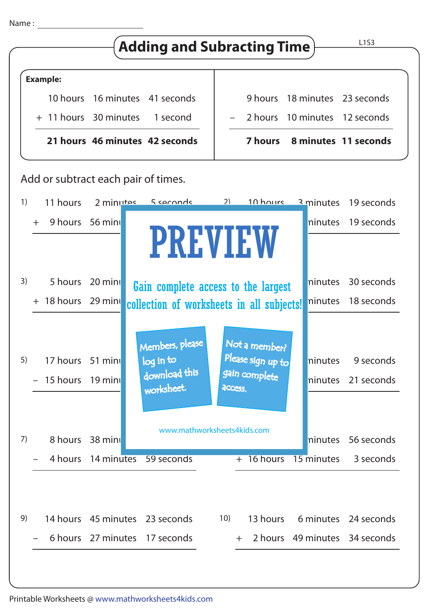



| 7) |  | 8 hours 38 minu                | www.mathworksheets4kids.com |     |  |  |  | ninutes 56 seconds              |
|----|--|--------------------------------|-----------------------------|-----|--|--|--|---------------------------------|
|    |  | 4 hours 14 minutes 59 seconds  |                             |     |  |  |  | + 16 hours 15 minutes 3 seconds |
|    |  |                                |                             |     |  |  |  |                                 |
| 9) |  | 14 hours 45 minutes 23 seconds |                             | 10) |  |  |  | 13 hours 6 minutes 24 seconds   |
|    |  | 6 hours 27 minutes 17 seconds  |                             |     |  |  |  | + 2 hours 49 minutes 34 seconds |